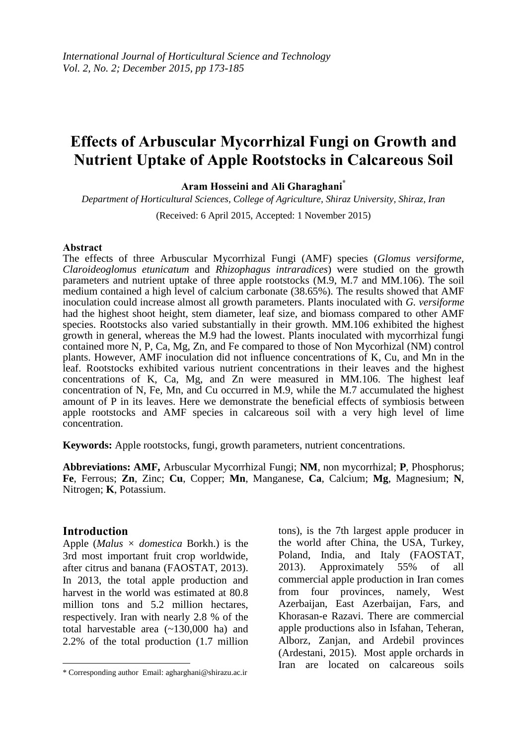# **Effects of Arbuscular Mycorrhizal Fungi on Growth and Nutrient Uptake of Apple Rootstocks in Calcareous Soil**

## **Aram Hosseini and Ali Gharaghani\***

*Department of Horticultural Sciences, College of Agriculture, Shiraz University, Shiraz, Iran*

(Received: 6 April 2015, Accepted: 1 November 2015)

#### **Abstract**

The effects of three Arbuscular Mycorrhizal Fungi (AMF) species (*Glomus versiforme, Claroideoglomus etunicatum* and *Rhizophagus intraradices*) were studied on the growth parameters and nutrient uptake of three apple rootstocks (M.9, M.7 and MM.106). The soil medium contained a high level of calcium carbonate (38.65%). The results showed that AMF inoculation could increase almost all growth parameters. Plants inoculated with *G. versiforme* had the highest shoot height, stem diameter, leaf size, and biomass compared to other AMF species. Rootstocks also varied substantially in their growth. MM.106 exhibited the highest growth in general, whereas the M.9 had the lowest. Plants inoculated with mycorrhizal fungi contained more N, P, Ca, Mg, Zn, and Fe compared to those of Non Mycorhizal (NM) control plants. However, AMF inoculation did not influence concentrations of K, Cu, and Mn in the leaf. Rootstocks exhibited various nutrient concentrations in their leaves and the highest concentrations of K, Ca, Mg, and Zn were measured in MM.106. The highest leaf concentration of N, Fe, Mn, and Cu occurred in M.9, while the M.7 accumulated the highest amount of P in its leaves. Here we demonstrate the beneficial effects of symbiosis between apple rootstocks and AMF species in calcareous soil with a very high level of lime concentration.

**Keywords:** Apple rootstocks, fungi, growth parameters, nutrient concentrations.

**Abbreviations: AMF,** Arbuscular Mycorrhizal Fungi; **NM**, non mycorrhizal; **P**, Phosphorus; **Fe**, Ferrous; **Zn**, Zinc; **Cu**, Copper; **Mn**, Manganese, **Ca**, Calcium; **Mg**, Magnesium; **N**, Nitrogen; **K**, Potassium.

## **Introduction**

 $\overline{\phantom{a}}$ 

Apple (*Malus × domestica* Borkh.) is the 3rd most important fruit crop worldwide, after citrus and banana (FAOSTAT, 2013). In 2013, the total apple production and harvest in the world was estimated at 80.8 million tons and 5.2 million hectares, respectively. Iran with nearly 2.8 % of the total harvestable area (~130,000 ha) and 2.2% of the total production (1.7 million tons), is the 7th largest apple producer in the world after China, the USA, Turkey, Poland, India, and Italy (FAOSTAT, 2013). Approximately 55% of all commercial apple production in Iran comes from four provinces, namely, West Azerbaijan, East Azerbaijan, Fars, and Khorasan-e Razavi. There are commercial apple productions also in Isfahan, Teheran, Alborz, Zanjan, and Ardebil provinces (Ardestani, 2015). Most apple orchards in Iran are located on calcareous soils

<sup>\*</sup> Corresponding author Email: agharghani@shirazu.ac.ir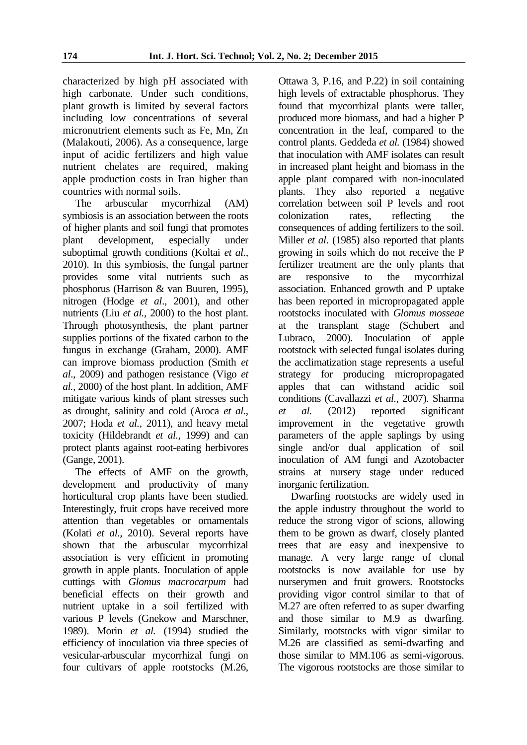characterized by high pH associated with high carbonate. Under such conditions, plant growth is limited by several factors including low concentrations of several micronutrient elements such as Fe, Mn, Zn (Malakouti, 2006). As a consequence, large input of acidic fertilizers and high value nutrient chelates are required, making apple production costs in Iran higher than countries with normal soils.

The arbuscular mycorrhizal (AM) symbiosis is an association between the roots of higher plants and soil fungi that promotes plant development, especially under suboptimal growth conditions (Koltai *et al.,* 2010). In this symbiosis, the fungal partner provides some vital nutrients such as phosphorus (Harrison & van Buuren, 1995), nitrogen (Hodge *et al*., 2001), and other nutrients (Liu *et al.,* 2000) to the host plant. Through photosynthesis, the plant partner supplies portions of the fixated carbon to the fungus in exchange (Graham, 2000). AMF can improve biomass production (Smith *et al*.*,* 2009) and pathogen resistance (Vigo *et al.,* 2000) of the host plant. In addition, AMF mitigate various kinds of plant stresses such as drought, salinity and cold (Aroca *et al.,* 2007; Hoda *et al.,* 2011), and heavy metal toxicity (Hildebrandt *et al.,* 1999) and can protect plants against root-eating herbivores (Gange, 2001).

The effects of AMF on the growth, development and productivity of many horticultural crop plants have been studied. Interestingly, fruit crops have received more attention than vegetables or ornamentals (Kolati *et al.,* 2010). Several reports have shown that the arbuscular mycorrhizal association is very efficient in promoting growth in apple plants. Inoculation of apple cuttings with *Glomus macrocarpum* had beneficial effects on their growth and nutrient uptake in a soil fertilized with various P levels (Gnekow and Marschner, 1989). Morin *et al.* (1994) studied the efficiency of inoculation via three species of vesicular-arbuscular mycorrhizal fungi on four cultivars of apple rootstocks (M.26,

Ottawa 3, P.16, and P.22) in soil containing high levels of extractable phosphorus. They found that mycorrhizal plants were taller, produced more biomass, and had a higher P concentration in the leaf, compared to the control plants. Geddeda *et al.* (1984) showed that inoculation with AMF isolates can result in increased plant height and biomass in the apple plant compared with non-inoculated plants. They also reported a negative correlation between soil P levels and root colonization rates, reflecting the consequences of adding fertilizers to the soil. Miller *et al.* (1985) also reported that plants growing in soils which do not receive the P fertilizer treatment are the only plants that are responsive to the mycorrhizal association. Enhanced growth and P uptake has been reported in micropropagated apple rootstocks inoculated with *Glomus mosseae* at the transplant stage (Schubert and Lubraco, 2000). Inoculation of apple rootstock with selected fungal isolates during the acclimatization stage represents a useful strategy for producing micropropagated apples that can withstand acidic soil conditions (Cavallazzi *et al.,* 2007). Sharma *et al.* (2012) reported significant improvement in the vegetative growth parameters of the apple saplings by using single and/or dual application of soil inoculation of AM fungi and Azotobacter strains at nursery stage under reduced inorganic fertilization.

Dwarfing rootstocks are widely used in the apple industry throughout the world to reduce the strong vigor of scions, allowing them to be grown as dwarf, closely planted trees that are easy and inexpensive to manage. A very large range of clonal rootstocks is now available for use by nurserymen and fruit growers. Rootstocks providing vigor control similar to that of M.27 are often referred to as super dwarfing and those similar to M.9 as dwarfing. Similarly, rootstocks with vigor similar to M.26 are classified as semi-dwarfing and those similar to MM.106 as semi-vigorous. The vigorous rootstocks are those similar to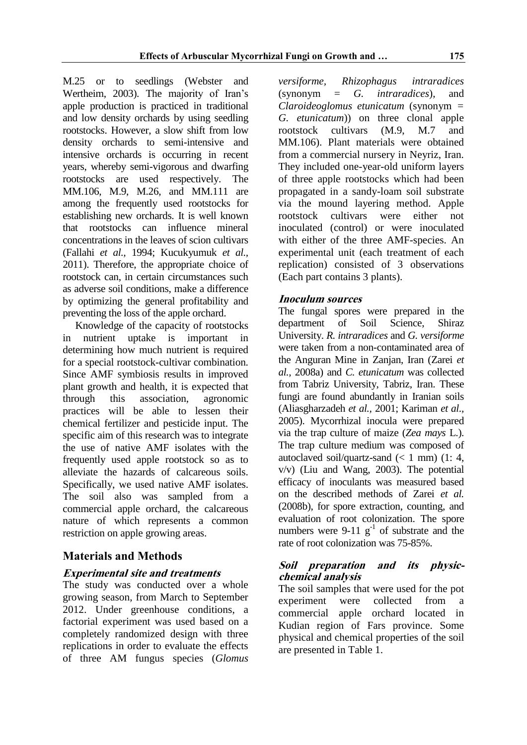M.25 or to seedlings (Webster and Wertheim, 2003). The majority of Iran's apple production is practiced in traditional and low density orchards by using seedling rootstocks. However, a slow shift from low density orchards to semi-intensive and intensive orchards is occurring in recent years, whereby semi-vigorous and dwarfing rootstocks are used respectively. The MM.106, M.9, M.26, and MM.111 are among the frequently used rootstocks for establishing new orchards. It is well known that rootstocks can influence mineral concentrations in the leaves of scion cultivars (Fallahi *et al.,* 1994; Kucukyumuk *et al.,* 2011). Therefore, the appropriate choice of rootstock can, in certain circumstances such as adverse soil conditions, make a difference by optimizing the general profitability and preventing the loss of the apple orchard.

Knowledge of the capacity of rootstocks in nutrient uptake is important in determining how much nutrient is required for a special rootstock-cultivar combination. Since AMF symbiosis results in improved plant growth and health, it is expected that through this association, agronomic practices will be able to lessen their chemical fertilizer and pesticide input. The specific aim of this research was to integrate the use of native AMF isolates with the frequently used apple rootstock so as to alleviate the hazards of calcareous soils. Specifically, we used native AMF isolates. The soil also was sampled from a commercial apple orchard, the calcareous nature of which represents a common restriction on apple growing areas.

# **Materials and Methods**

# **Experimental site and treatments**

The study was conducted over a whole growing season, from March to September 2012. Under greenhouse conditions, a factorial experiment was used based on a completely randomized design with three replications in order to evaluate the effects of three AM fungus species (*Glomus* 

*versiforme, Rhizophagus intraradices* (synonym = *G. intraradices*), and *Claroideoglomus etunicatum* (synonym *= G. etunicatum*)) on three clonal apple rootstock cultivars (M.9, M.7 and MM.106). Plant materials were obtained from a commercial nursery in Neyriz, Iran. They included one-year-old uniform layers of three apple rootstocks which had been propagated in a sandy-loam soil substrate via the mound layering method. Apple rootstock cultivars were either not inoculated (control) or were inoculated with either of the three AMF-species. An experimental unit (each treatment of each replication) consisted of 3 observations (Each part contains 3 plants).

# **Inoculum sources**

The fungal spores were prepared in the department of Soil Science, Shiraz University. *R. intraradices* and *G. versiforme* were taken from a non-contaminated area of the Anguran Mine in Zanjan, Iran (Zarei *et al.,* 2008a) and *C. etunicatum* was collected from Tabriz University, Tabriz, Iran. These fungi are found abundantly in Iranian soils (Aliasgharzadeh *et al.,* 2001; Kariman *et al.,* 2005). Mycorrhizal inocula were prepared via the trap culture of maize (*Zea mays* L.). The trap culture medium was composed of autoclaved soil/quartz-sand  $(< 1$  mm)  $(1: 4, ...)$ v/v) (Liu and Wang, 2003). The potential efficacy of inoculants was measured based on the described methods of Zarei *et al.* (2008b), for spore extraction, counting, and evaluation of root colonization. The spore numbers were 9-11  $g^{-1}$  of substrate and the rate of root colonization was 75-85%.

# **Soil preparation and its physicchemical analysis**

The soil samples that were used for the pot experiment were collected from a commercial apple orchard located in Kudian region of Fars province. Some physical and chemical properties of the soil are presented in Table 1.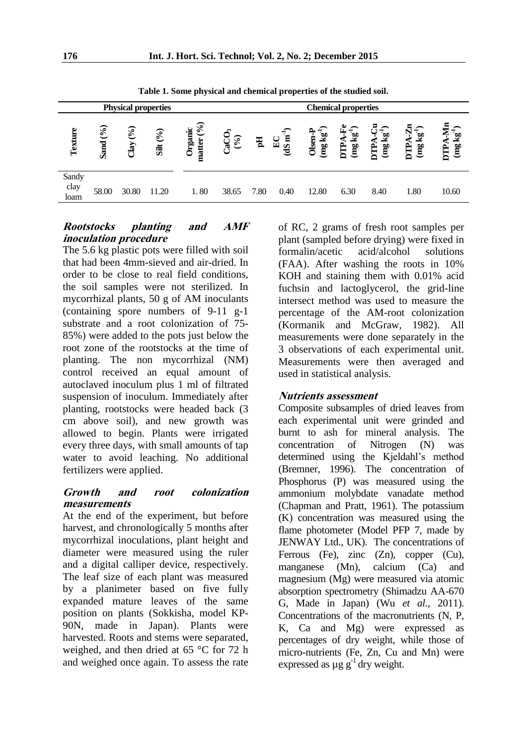| <b>Physical properties</b> |             |                   |          |                                              | <b>Chemical properties</b>        |              |                        |                  |                  |                                            |                     |                                                     |
|----------------------------|-------------|-------------------|----------|----------------------------------------------|-----------------------------------|--------------|------------------------|------------------|------------------|--------------------------------------------|---------------------|-----------------------------------------------------|
| Texture                    | Sand $(\%)$ | $($ % $)$<br>Clay | Silt (%) | $\mathcal{S}_{\bullet}$<br>Organic<br>matter | $\bullet$<br>$\mathcal{E}$<br>្លូ | $\mathbf{H}$ | $m$ 2b)<br>$E_{\rm C}$ | Olsen-I<br>as ka | ang kg<br>⋖<br>È | $(\rm{mg}\,kg^{\text{-}1})$<br><b>DTPA</b> | as kg)<br>⋖<br>DTP. | Ę<br>$\widehat{H}$<br>DTPA-N<br>(mg kg <sup>-</sup> |
| Sandy<br>clay<br>loam      | 58.00       | 30.80             | 11.20    | 1.80                                         | 38.65                             | 7.80         | 0.40                   | 12.80            | 6.30             | 8.40                                       | 1.80                | 10.60                                               |

**Table 1. Some physical and chemical properties of the studied soil.**

#### **Rootstocks planting and AMF inoculation procedure**

The 5.6 kg plastic pots were filled with soil that had been 4mm-sieved and air-dried. In order to be close to real field conditions, the soil samples were not sterilized. In mycorrhizal plants, 50 g of AM inoculants (containing spore numbers of 9-11 g-1 substrate and a root colonization of 75- 85%) were added to the pots just below the root zone of the rootstocks at the time of planting. The non mycorrhizal (NM) control received an equal amount of autoclaved inoculum plus 1 ml of filtrated suspension of inoculum. Immediately after planting, rootstocks were headed back (3 cm above soil), and new growth was allowed to begin. Plants were irrigated every three days, with small amounts of tap water to avoid leaching. No additional fertilizers were applied.

## **Growth and root colonization measurements**

At the end of the experiment, but before harvest, and chronologically 5 months after mycorrhizal inoculations, plant height and diameter were measured using the ruler and a digital calliper device, respectively. The leaf size of each plant was measured by a planimeter based on five fully expanded mature leaves of the same position on plants (Sokkisha, model KP-90N, made in Japan). Plants were harvested. Roots and stems were separated, weighed, and then dried at 65 °C for 72 h and weighed once again. To assess the rate

of RC, 2 grams of fresh root samples per plant (sampled before drying) were fixed in<br>formalin/acetic acid/alcohol solutions formalin/acetic acid/alcohol solutions (FAA). After washing the roots in 10% KOH and staining them with 0.01% acid fuchsin and lactoglycerol, the grid-line intersect method was used to measure the percentage of the AM-root colonization (Kormanik and McGraw, 1982). All measurements were done separately in the 3 observations of each experimental unit. Measurements were then averaged and used in statistical analysis.

#### **Nutrients assessment**

Composite subsamples of dried leaves from each experimental unit were grinded and burnt to ash for mineral analysis. The concentration of Nitrogen (N) was determined using the Kjeldahl's method (Bremner, 1996). The concentration of Phosphorus (P) was measured using the ammonium molybdate vanadate method (Chapman and Pratt, 1961). The potassium (K) concentration was measured using the flame photometer (Model PFP 7, made by JENWAY Ltd., UK). The concentrations of Ferrous (Fe), zinc (Zn), copper (Cu), manganese (Mn), calcium (Ca) and magnesium (Mg) were measured via atomic absorption spectrometry (Shimadzu AA-670 G, Made in Japan) (Wu *et al.,* 2011). Concentrations of the macronutrients (N, P, K, Ca and Mg) were expressed as percentages of dry weight, while those of micro-nutrients (Fe, Zn, Cu and Mn) were expressed as  $\mu$ g g<sup>-1</sup> dry weight.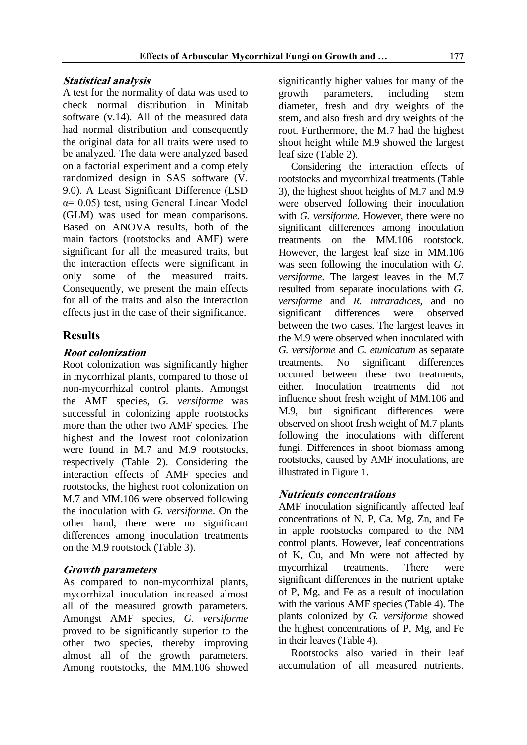## **Statistical analysis**

A test for the normality of data was used to check normal distribution in Minitab software (v.14). All of the measured data had normal distribution and consequently the original data for all traits were used to be analyzed. The data were analyzed based on a factorial experiment and a completely randomized design in SAS software (V. 9.0). A Least Significant Difference (LSD α= 0.05) test, using General Linear Model (GLM) was used for mean comparisons. Based on ANOVA results, both of the main factors (rootstocks and AMF) were significant for all the measured traits, but the interaction effects were significant in only some of the measured traits. Consequently, we present the main effects for all of the traits and also the interaction effects just in the case of their significance.

# **Results**

## **Root colonization**

Root colonization was significantly higher in mycorrhizal plants, compared to those of non-mycorrhizal control plants. Amongst the AMF species, *G. versiforme* was successful in colonizing apple rootstocks more than the other two AMF species. The highest and the lowest root colonization were found in M.7 and M.9 rootstocks, respectively (Table 2). Considering the interaction effects of AMF species and rootstocks, the highest root colonization on M.7 and MM.106 were observed following the inoculation with *G. versiforme*. On the other hand, there were no significant differences among inoculation treatments on the M.9 rootstock (Table 3).

# **Growth parameters**

As compared to non-mycorrhizal plants, mycorrhizal inoculation increased almost all of the measured growth parameters. Amongst AMF species, *G. versiforme* proved to be significantly superior to the other two species, thereby improving almost all of the growth parameters. Among rootstocks, the MM.106 showed significantly higher values for many of the<br>growth parameters. including stem parameters, diameter, fresh and dry weights of the stem, and also fresh and dry weights of the root. Furthermore, the M.7 had the highest shoot height while M.9 showed the largest leaf size (Table 2).

Considering the interaction effects of rootstocks and mycorrhizal treatments (Table 3), the highest shoot heights of M.7 and M.9 were observed following their inoculation with *G. versiforme*. However, there were no significant differences among inoculation treatments on the MM.106 rootstock. However, the largest leaf size in MM.106 was seen following the inoculation with *G. versiforme*. The largest leaves in the M.7 resulted from separate inoculations with *G. versiforme* and *R. intraradices*, and no significant differences were observed between the two cases. The largest leaves in the M.9 were observed when inoculated with *G. versiforme* and *C. etunicatum* as separate treatments. No significant differences occurred between these two treatments, either. Inoculation treatments did not influence shoot fresh weight of MM.106 and M.9, but significant differences were observed on shoot fresh weight of M.7 plants following the inoculations with different fungi. Differences in shoot biomass among rootstocks, caused by AMF inoculations, are illustrated in Figure 1.

## **Nutrients concentrations**

AMF inoculation significantly affected leaf concentrations of N, P, Ca, Mg, Zn, and Fe in apple rootstocks compared to the NM control plants. However, leaf concentrations of K, Cu, and Mn were not affected by mycorrhizal treatments. There were significant differences in the nutrient uptake of P, Mg, and Fe as a result of inoculation with the various AMF species (Table 4). The plants colonized by *G. versiforme* showed the highest concentrations of P, Mg, and Fe in their leaves (Table 4).

Rootstocks also varied in their leaf accumulation of all measured nutrients.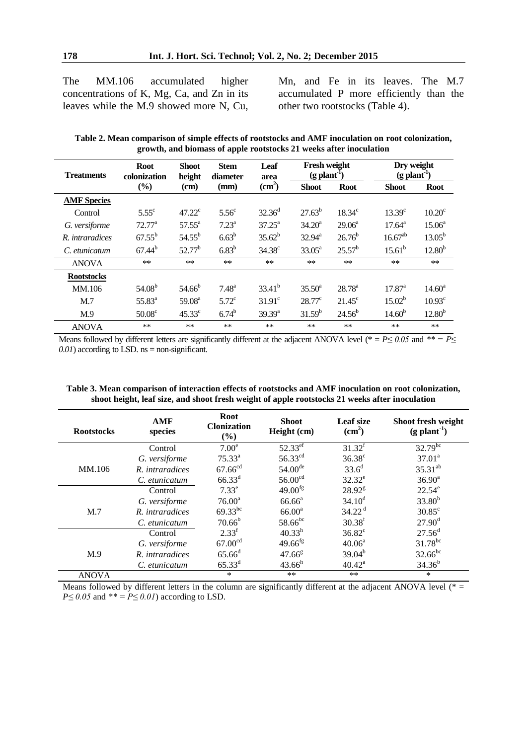The MM.106 accumulated higher concentrations of K, Mg, Ca, and Zn in its leaves while the M.9 showed more N, Cu, Mn, and Fe in its leaves. The M.7 accumulated P more efficiently than the other two rootstocks (Table 4).

| Treatments         | <b>Root</b><br>colonization | <b>Shoot</b><br>height | <b>Stem</b><br>diameter<br>(mm) | Leaf<br>area<br>(cm <sup>2</sup> ) | <b>Fresh weight</b><br>$(g$ plant <sup>-1</sup> |                 | Dry weight<br>$(g$ plant <sup>-1</sup> ) |                    |
|--------------------|-----------------------------|------------------------|---------------------------------|------------------------------------|-------------------------------------------------|-----------------|------------------------------------------|--------------------|
|                    | (%)                         | (cm)                   |                                 |                                    | <b>Shoot</b>                                    | <b>Root</b>     | <b>Shoot</b>                             | <b>Root</b>        |
| <b>AMF</b> Species |                             |                        |                                 |                                    |                                                 |                 |                                          |                    |
| Control            | $5.55^{\circ}$              | $47.22^{\circ}$        | $5.56^{\circ}$                  | $32.36^{\rm d}$                    | $27.63^{b}$                                     | $18.34^c$       | $13.39^{\circ}$                          | 10.20 <sup>c</sup> |
| G. versiforme      | $72.77^{\rm a}$             | $57.55^{\circ}$        | $7.23^{\rm a}$                  | $37.25^{\rm a}$                    | $34.20^{\circ}$                                 | $29.06^{\circ}$ | $17.64^{\circ}$                          | $15.06^{\circ}$    |
| R. intraradices    | $67.55^{b}$                 | $54.55^{b}$            | $6.63^{b}$                      | $35.62^{b}$                        | $32.94^{\text{a}}$                              | $26.76^{b}$     | $16.67^{ab}$                             | $13.05^{b}$        |
| C. etunicatum      | $67.44^{b}$                 | $52.77^{\rm b}$        | $6.83^{b}$                      | $34.38^{\circ}$                    | $33.05^{\rm a}$                                 | $25.57^{\rm b}$ | $15.61^{b}$                              | $12.80^{b}$        |
| <b>ANOVA</b>       | $**$                        | **                     | $**$                            | **                                 | $**$                                            | $***$           | $**$                                     | **                 |
| <b>Rootstocks</b>  |                             |                        |                                 |                                    |                                                 |                 |                                          |                    |
| MM.106             | $54.08^{b}$                 | $54.66^b$              | $7.48^{\rm a}$                  | $33.41^{b}$                        | $35.50^{\circ}$                                 | $28.78^{\rm a}$ | $17.87^{\rm a}$                          | $14.60^{\circ}$    |
| M.7                | $55.83^{a}$                 | 59.08 <sup>a</sup>     | $5.72^{\circ}$                  | $31.91^{\circ}$                    | $28.77^{\circ}$                                 | $21.45^{\circ}$ | $15.02^{\rm b}$                          | $10.93^{\circ}$    |
| M <sub>0</sub>     | 50.08 <sup>c</sup>          | 45.33 <sup>c</sup>     | $6.74^{b}$                      | $39.39^{a}$                        | $31.59^{b}$                                     | $24.56^{b}$     | 14.60 <sup>b</sup>                       | $12.80^{b}$        |
| <b>ANOVA</b>       | $**$                        | $**$                   | $**$                            | $**$                               | $**$                                            | $***$           | $**$                                     | **                 |

**Table 2. Mean comparison of simple effects of rootstocks and AMF inoculation on root colonization, growth, and biomass of apple rootstocks 21 weeks after inoculation**

Means followed by different letters are significantly different at the adjacent ANOVA level (\* =  $P \le 0.05$  and \*\* =  $P \le$ *0.01*) according to LSD. ns = non-significant.

| Table 3. Mean comparison of interaction effects of rootstocks and AMF inoculation on root colonization, |  |
|---------------------------------------------------------------------------------------------------------|--|
| shoot height, leaf size, and shoot fresh weight of apple rootstocks 21 weeks after inoculation          |  |

| <b>Rootstocks</b> | <b>AMF</b><br>species | <b>Root</b><br><b>Clonization</b><br>(%) | <b>Shoot</b><br>Height (cm) | <b>Leaf size</b><br>$\text{(cm}^2)$ | Shoot fresh weight<br>$(g$ plant <sup>-1</sup> ) |
|-------------------|-----------------------|------------------------------------------|-----------------------------|-------------------------------------|--------------------------------------------------|
|                   | Control               | 7.00 <sup>e</sup>                        | $52.33$ <sup>ef</sup>       | $31.32^{f}$                         | $32.79^{bc}$                                     |
|                   | G. versiforme         | $75.33^{a}$                              | $56.33^{cd}$                | $36.38^{\circ}$                     | $37.01^a$                                        |
| MM.106            | R. intraradices       | 67.66 <sup>cd</sup>                      | $54.00^{de}$                | $33.6^{d}$                          | $35.31^{ab}$                                     |
|                   | C. etunicatum         | $66.33^{d}$                              | 56.00 <sup>cd</sup>         | $32.32^e$                           | $36.90^a$                                        |
|                   | Control               | $7.33^e$                                 | $49.00^{fg}$                | $28.92^8$                           | $22.54^e$                                        |
|                   | G. versiforme         | $76.00^a$                                | $66.66^{\circ}$             | $34.10^d$                           | $33.80^{b}$                                      |
| M.7               | R. intraradices       | $69.33^{bc}$                             | $66.00^{\rm a}$             | $34.22$ <sup>d</sup>                | $30.85^{\circ}$                                  |
|                   | C. etunicatum         | $70.66^{\rm b}$                          | 58.66 <sup>bc</sup>         | 30.38 <sup>f</sup>                  | $27.90^{\rm d}$                                  |
|                   | Control               | 2.33 <sup>f</sup>                        | $40.33^{h}$                 | $36.82^c$                           | $27.56^{\rm d}$                                  |
|                   | G. versiforme         | 67.00 <sup>cd</sup>                      | $49.66^{fg}$                | $40.06^a$                           | $31.78^{bc}$                                     |
| M.9               | R. intraradices       | $65.66^{\rm d}$                          | $47.66^{8}$                 | $39.04^{b}$                         | $32.66^{bc}$                                     |
|                   | C. etunicatum         | $65.33^{d}$                              | $43.66^h$                   | $40.42^a$                           | $34.36^{b}$                                      |
| <b>ANOVA</b>      |                       | $\ast$                                   | **                          | $***$                               | *                                                |

Means followed by different letters in the column are significantly different at the adjacent ANOVA level  $(* =$  $P \le 0.05$  and \*\* =  $P \le 0.01$ ) according to LSD.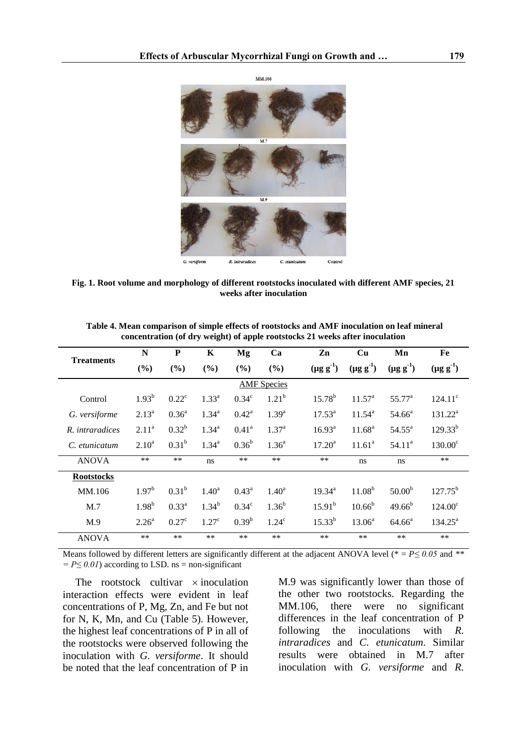

**Fig. 1. Root volume and morphology of different rootstocks inoculated with different AMF species, 21 weeks after inoculation**

|                    | N                 | $\mathbf{P}$   | K                 | Mg             | Ca                | Zn                 | <b>Cu</b>          | Mn                 | Fe                  |
|--------------------|-------------------|----------------|-------------------|----------------|-------------------|--------------------|--------------------|--------------------|---------------------|
| <b>Treatments</b>  | (%)               | (%)            | (%)               | (%)            | (%)               | $(\mu g g^1)$      | $(\mu g g^1)$      | $(\mu g g^1)$      | $(\mu g g^1)$       |
| <b>AMF</b> Species |                   |                |                   |                |                   |                    |                    |                    |                     |
| Control            | $1.93^{b}$        | $0.22^{\circ}$ | $1.33^{a}$        | $0.34^\circ$   | $1.21^{b}$        | $15.78^{b}$        | $11.57^{\circ}$    | $55.77^{\circ}$    | $124.11^{\circ}$    |
| G. versiforme      | $2.13^{a}$        | $0.36^{\rm a}$ | $1.34^{\rm a}$    | $0.42^{\rm a}$ | $1.39^{a}$        | $17.53^{\circ}$    | $11.54^{\rm a}$    | $54.66^{\circ}$    | $131.22^a$          |
| R. intraradices    | 2.11 <sup>a</sup> | $0.32^{b}$     | $1.34^{a}$        | $0.41^{\circ}$ | $1.37^{\rm a}$    | $16.93^{\circ}$    | 11.68 <sup>a</sup> | $54.55^{\circ}$    | $129.33^{b}$        |
| C. etunicatum      | $2.10^a$          | $0.31^{b}$     | $1.34^{a}$        | $0.36^{b}$     | $1.36^{a}$        | $17.20^a$          | $11.61^a$          | 54.11 <sup>a</sup> | $130.00^{\circ}$    |
| <b>ANOVA</b>       | $**$              | $**$           | ns                | $**$           | $**$              | **                 | ns                 | ns                 | $**$                |
| <b>Rootstocks</b>  |                   |                |                   |                |                   |                    |                    |                    |                     |
| MM.106             | $1.97^{\rm b}$    | $0.31^{b}$     | $1.40^{\rm a}$    | $0.43^{\rm a}$ | $1.40^a$          | $19.34^{\text{a}}$ | $11.08^{b}$        | $50.00^{b}$        | $127.75^{b}$        |
| M.7                | $1.98^{b}$        | $0.33^{a}$     | $1.34^{b}$        | $0.34^\circ$   | $1.36^{b}$        | $15.91^{b}$        | $10.66^{b}$        | $49.66^{b}$        | $124.00^{\circ}$    |
| M.9                | $2.26^{\circ}$    | $0.27^{\circ}$ | 1.27 <sup>c</sup> | $0.39^{b}$     | 1.24 <sup>c</sup> | $15.33^{b}$        | $13.06^a$          | $64.66^a$          | $134.25^{\text{a}}$ |
| <b>ANOVA</b>       | $**$              | $**$           | **                | $**$           | $**$              | $**$               | $**$               | $**$               | $**$                |

**Table 4. Mean comparison of simple effects of rootstocks and AMF inoculation on leaf mineral concentration (of dry weight) of apple rootstocks 21 weeks after inoculation**

Means followed by different letters are significantly different at the adjacent ANOVA level (\* = *P≤ 0.05* and *\*\**   $= P \le 0.01$ ) according to LSD. ns = non-significant

The rootstock cultivar  $\times$  inoculation interaction effects were evident in leaf concentrations of P, Mg, Zn, and Fe but not for N, K, Mn, and Cu (Table 5). However, the highest leaf concentrations of P in all of the rootstocks were observed following the inoculation with *G. versiforme*. It should be noted that the leaf concentration of P in M.9 was significantly lower than those of the other two rootstocks. Regarding the MM.106, there were no significant differences in the leaf concentration of P following the inoculations with *R. intraradices* and *C. etunicatum.* Similar results were obtained in M.7 after inoculation with *G. versiforme* and *R.*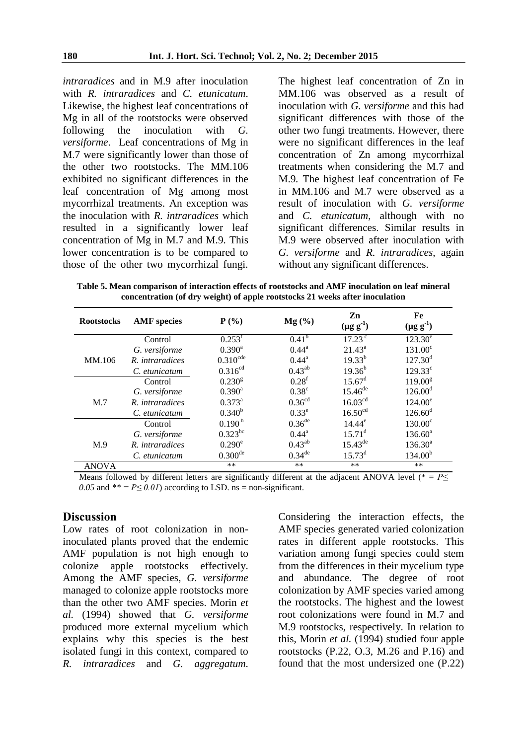*intraradices* and in M.9 after inoculation with *R. intraradices* and *C. etunicatum*. Likewise, the highest leaf concentrations of Mg in all of the rootstocks were observed following the inoculation with *G. versiforme*. Leaf concentrations of Mg in M.7 were significantly lower than those of the other two rootstocks. The MM.106 exhibited no significant differences in the leaf concentration of Mg among most mycorrhizal treatments. An exception was the inoculation with *R. intraradices* which resulted in a significantly lower leaf concentration of Mg in M.7 and M.9. This lower concentration is to be compared to those of the other two mycorrhizal fungi*.* The highest leaf concentration of Zn in MM.106 was observed as a result of inoculation with *G. versiforme* and this had significant differences with those of the other two fungi treatments. However, there were no significant differences in the leaf concentration of Zn among mycorrhizal treatments when considering the M.7 and M.9*.* The highest leaf concentration of Fe in MM.106 and M.7 were observed as a result of inoculation with *G. versiforme*  and *C. etunicatum*, although with no significant differences. Similar results in M.9 were observed after inoculation with *G. versiforme* and *R. intraradices*, again without any significant differences.

**Table 5. Mean comparison of interaction effects of rootstocks and AMF inoculation on leaf mineral concentration (of dry weight) of apple rootstocks 21 weeks after inoculation**

| <b>Rootstocks</b> | <b>AMF</b> species | $P(\%)$                | $Mg(\%)$             | Zn<br>$(\mu g g-1)$  | Fe<br>$(\mu g g^{-1})$ |
|-------------------|--------------------|------------------------|----------------------|----------------------|------------------------|
|                   | Control            | $0.253^t$              | $0.41^{\rm b}$       | $17.23$ <sup>c</sup> | $123.30^e$             |
|                   | G. versiforme      | $0.390^{\rm a}$        | $0.44^{\rm a}$       | $21.43^a$            | $131.00^{\circ}$       |
| MM.106            | R. intraradices    | $0.310$ <sup>cde</sup> | $0.44^{\rm a}$       | $19.33^{b}$          | 127.30 <sup>d</sup>    |
|                   | C. etunicatum      | 0.316 <sup>cd</sup>    | $0.43^{ab}$          | $19.36^{b}$          | $129.33^{\circ}$       |
|                   | Control            | $0.230^{8}$            | 0.28 <sup>f</sup>    | $15.67^{\rm d}$      | 119.00 <sup>g</sup>    |
|                   | G. versiforme      | $0.390^{\rm a}$        | $0.38^\circ$         | $15.46^{de}$         | 126.00 <sup>d</sup>    |
| M.7               | R. intraradices    | $0.373^{\rm a}$        | 0.36 <sup>cd</sup>   | 16.03 <sup>cd</sup>  | $124.00^e$             |
|                   | C. etunicatum      | $0.340^{b}$            | 0.33 <sup>e</sup>    | 16.50 <sup>cd</sup>  | $126.60^{\rm d}$       |
|                   | Control            | 0.190 <sup>h</sup>     | 0.36 <sup>de</sup>   | $14.44^e$            | $130.00^{\circ}$       |
|                   | G. versiforme      | $0.323^{bc}$           | $0.44^{\rm a}$       | $15.71^{\rm d}$      | $136.60^a$             |
| M.9               | R. intraradices    | $0.290^{\circ}$        | $0.43^{ab}$          | $15.43^{de}$         | $136.30^a$             |
|                   | C. etunicatum      | $0.300$ <sup>de</sup>  | $0.34$ <sup>de</sup> | $15.73^{\rm d}$      | 134.00 <sup>b</sup>    |
| <b>ANOVA</b>      |                    | **                     | **                   | **                   | **                     |

Means followed by different letters are significantly different at the adjacent ANOVA level ( $* = P \leq$ *0.05* and  $** = P \le 0.01$  according to LSD. ns = non-significant.

## **Discussion**

Low rates of root colonization in noninoculated plants proved that the endemic AMF population is not high enough to colonize apple rootstocks effectively. Among the AMF species, *G. versiforme* managed to colonize apple rootstocks more than the other two AMF species. Morin *et al.* (1994) showed that *G. versiforme* produced more external mycelium which explains why this species is the best isolated fungi in this context, compared to *R. intraradices* and *G. aggregatum*. Considering the interaction effects, the AMF species generated varied colonization rates in different apple rootstocks. This variation among fungi species could stem from the differences in their mycelium type and abundance. The degree of root colonization by AMF species varied among the rootstocks. The highest and the lowest root colonizations were found in M.7 and M.9 rootstocks, respectively. In relation to this, Morin *et al.* (1994) studied four apple rootstocks (P.22, O.3, M.26 and P.16) and found that the most undersized one (P.22)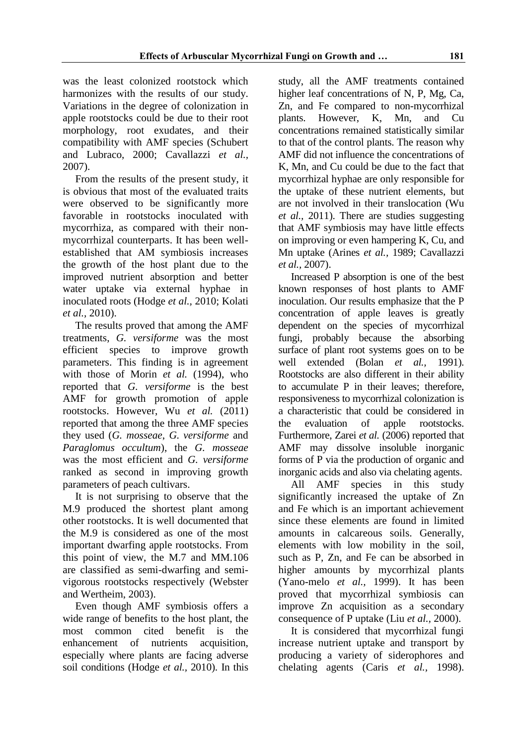was the least colonized rootstock which harmonizes with the results of our study. Variations in the degree of colonization in apple rootstocks could be due to their root morphology, root exudates, and their compatibility with AMF species (Schubert and Lubraco, 2000; Cavallazzi *et al.,* 2007).

From the results of the present study, it is obvious that most of the evaluated traits were observed to be significantly more favorable in rootstocks inoculated with mycorrhiza, as compared with their nonmycorrhizal counterparts. It has been wellestablished that AM symbiosis increases the growth of the host plant due to the improved nutrient absorption and better water uptake via external hyphae in inoculated roots (Hodge *et al.,* 2010; Kolati *et al.,* 2010).

The results proved that among the AMF treatments, *G. versiforme* was the most efficient species to improve growth parameters. This finding is in agreement with those of Morin *et al.* (1994), who reported that *G. versiforme* is the best AMF for growth promotion of apple rootstocks. However, Wu *et al.* (2011) reported that among the three AMF species they used (*G. mosseae*, *G. versiforme* and *Paraglomus occultum*), the *G. mosseae* was the most efficient and *G. versiforme* ranked as second in improving growth parameters of peach cultivars.

It is not surprising to observe that the M.9 produced the shortest plant among other rootstocks. It is well documented that the M.9 is considered as one of the most important dwarfing apple rootstocks. From this point of view, the M.7 and MM.106 are classified as semi-dwarfing and semivigorous rootstocks respectively (Webster and Wertheim, 2003).

Even though AMF symbiosis offers a wide range of benefits to the host plant, the most common cited benefit is the enhancement of nutrients acquisition, especially where plants are facing adverse soil conditions (Hodge *et al.,* 2010). In this study, all the AMF treatments contained higher leaf concentrations of N, P, Mg, Ca, Zn, and Fe compared to non-mycorrhizal plants. However, K, Mn, and Cu concentrations remained statistically similar to that of the control plants. The reason why AMF did not influence the concentrations of K, Mn, and Cu could be due to the fact that mycorrhizal hyphae are only responsible for the uptake of these nutrient elements, but are not involved in their translocation (Wu *et al.,* 2011). There are studies suggesting that AMF symbiosis may have little effects on improving or even hampering K, Cu, and Mn uptake (Arines *et al.,* 1989; Cavallazzi *et al.,* 2007).

Increased P absorption is one of the best known responses of host plants to AMF inoculation. Our results emphasize that the P concentration of apple leaves is greatly dependent on the species of mycorrhizal fungi, probably because the absorbing surface of plant root systems goes on to be well extended (Bolan *et al.,* 1991). Rootstocks are also different in their ability to accumulate P in their leaves; therefore, responsiveness to mycorrhizal colonization is a characteristic that could be considered in the evaluation of apple rootstocks. Furthermore, Zarei *et al.* (2006) reported that AMF may dissolve insoluble inorganic forms of P via the production of organic and inorganic acids and also via chelating agents.

All AMF species in this study significantly increased the uptake of Zn and Fe which is an important achievement since these elements are found in limited amounts in calcareous soils. Generally, elements with low mobility in the soil, such as P, Zn, and Fe can be absorbed in higher amounts by mycorrhizal plants (Yano-melo *et al.,* 1999). It has been proved that mycorrhizal symbiosis can improve Zn acquisition as a secondary consequence of P uptake (Liu *et al.,* 2000).

It is considered that mycorrhizal fungi increase nutrient uptake and transport by producing a variety of siderophores and chelating agents (Caris *et al.,* 1998).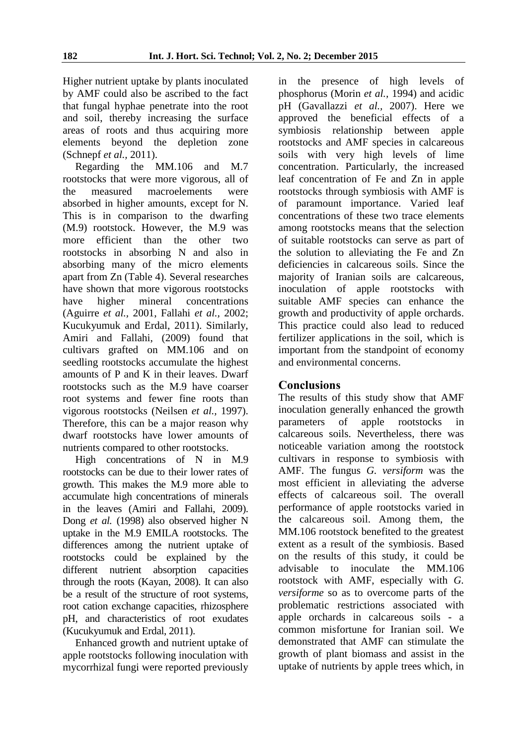Higher nutrient uptake by plants inoculated by AMF could also be ascribed to the fact that fungal hyphae penetrate into the root and soil, thereby increasing the surface areas of roots and thus acquiring more elements beyond the depletion zone (Schnepf *et al.,* 2011).

Regarding the MM.106 and M.7 rootstocks that were more vigorous, all of the measured macroelements were absorbed in higher amounts, except for N. This is in comparison to the dwarfing (M.9) rootstock. However, the M.9 was more efficient than the other two rootstocks in absorbing N and also in absorbing many of the micro elements apart from Zn (Table 4). Several researches have shown that more vigorous rootstocks have higher mineral concentrations (Aguirre *et al.,* 2001, Fallahi *et al.,* 2002; Kucukyumuk and Erdal, 2011). Similarly, Amiri and Fallahi, (2009) found that cultivars grafted on MM.106 and on seedling rootstocks accumulate the highest amounts of P and K in their leaves. Dwarf rootstocks such as the M.9 have coarser root systems and fewer fine roots than vigorous rootstocks (Neilsen *et al.,* 1997). Therefore, this can be a major reason why dwarf rootstocks have lower amounts of nutrients compared to other rootstocks.

High concentrations of N in M.9 rootstocks can be due to their lower rates of growth. This makes the M.9 more able to accumulate high concentrations of minerals in the leaves (Amiri and Fallahi, 2009). Dong *et al.* (1998) also observed higher N uptake in the M.9 EMILA rootstocks. The differences among the nutrient uptake of rootstocks could be explained by the different nutrient absorption capacities through the roots (Kayan, 2008). It can also be a result of the structure of root systems, root cation exchange capacities, rhizosphere pH, and characteristics of root exudates (Kucukyumuk and Erdal, 2011).

Enhanced growth and nutrient uptake of apple rootstocks following inoculation with mycorrhizal fungi were reported previously in the presence of high levels of phosphorus (Morin *et al.,* 1994) and acidic pH (Gavallazzi *et al.,* 2007). Here we approved the beneficial effects of a symbiosis relationship between apple rootstocks and AMF species in calcareous soils with very high levels of lime concentration. Particularly, the increased leaf concentration of Fe and Zn in apple rootstocks through symbiosis with AMF is of paramount importance. Varied leaf concentrations of these two trace elements among rootstocks means that the selection of suitable rootstocks can serve as part of the solution to alleviating the Fe and Zn deficiencies in calcareous soils. Since the majority of Iranian soils are calcareous, inoculation of apple rootstocks with suitable AMF species can enhance the growth and productivity of apple orchards. This practice could also lead to reduced fertilizer applications in the soil, which is important from the standpoint of economy and environmental concerns.

# **Conclusions**

The results of this study show that AMF inoculation generally enhanced the growth<br>parameters of apple rootstocks in parameters of apple rootstocks in calcareous soils. Nevertheless, there was noticeable variation among the rootstock cultivars in response to symbiosis with AMF. The fungus *G. versiform* was the most efficient in alleviating the adverse effects of calcareous soil. The overall performance of apple rootstocks varied in the calcareous soil. Among them, the MM.106 rootstock benefited to the greatest extent as a result of the symbiosis. Based on the results of this study, it could be advisable to inoculate the MM.106 rootstock with AMF, especially with *G. versiforme* so as to overcome parts of the problematic restrictions associated with apple orchards in calcareous soils - a common misfortune for Iranian soil. We demonstrated that AMF can stimulate the growth of plant biomass and assist in the uptake of nutrients by apple trees which, in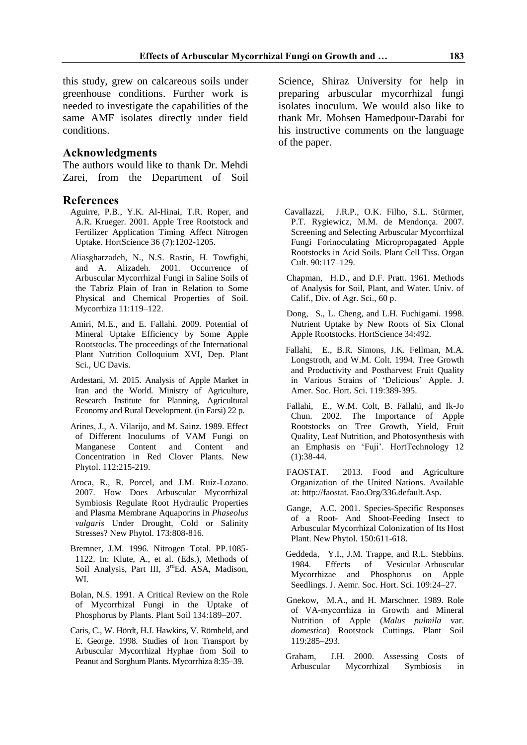this study, grew on calcareous soils under greenhouse conditions. Further work is needed to investigate the capabilities of the same AMF isolates directly under field conditions.

#### **Acknowledgments**

The authors would like to thank Dr. Mehdi Zarei, from the Department of Soil

#### **References**

- Aguirre, P.B., Y.K. Al-Hinai, T.R. Roper, and A.R. Krueger. 2001. Apple Tree Rootstock and Fertilizer Application Timing Affect Nitrogen Uptake. HortScience 36 (7):1202-1205.
- Aliasgharzadeh, N., N.S. Rastin, H. Towfighi, and A. Alizadeh. 2001. Occurrence of Arbuscular Mycorrhizal Fungi in Saline Soils of the Tabriz Plain of Iran in Relation to Some Physical and Chemical Properties of Soil. Mycorrhiza 11:119–122.
- Amiri, M.E., and E. Fallahi. 2009. Potential of Mineral Uptake Efficiency by Some Apple Rootstocks. The proceedings of the International Plant Nutrition Colloquium XVI, Dep. Plant Sci., UC Davis.
- Ardestani, M. 2015. Analysis of Apple Market in Iran and the World. Ministry of Agriculture, Research Institute for Planning, Agricultural Economy and Rural Development. (in Farsi) 22 p.
- Arines, J., A. Vilarijo, and M. Sainz. 1989. Effect of Different Inoculums of VAM Fungi on Manganese Content and Content and Concentration in Red Clover Plants. New Phytol. 112:215-219.
- Aroca, R., R. Porcel, and J.M. Ruiz-Lozano. 2007. How Does Arbuscular Mycorrhizal Symbiosis Regulate Root Hydraulic Properties and Plasma Membrane Aquaporins in *Phaseolus vulgaris* Under Drought, Cold or Salinity Stresses? New Phytol. 173:808-816.
- Bremner, J.M. 1996. Nitrogen Total. PP.1085- 1122. In: Klute, A., et al. (Eds.), Methods of Soil Analysis, Part III, 3<sup>rd</sup>Ed. ASA, Madison, WI.
- Bolan, N.S. 1991. A Critical Review on the Role of Mycorrhizal Fungi in the Uptake of Phosphorus by Plants. Plant Soil 134:189–207.
- Caris, C., W. Hördt, H.J. Hawkins, V. Römheld, and E. George. 1998. Studies of Iron Transport by Arbuscular Mycorrhizal Hyphae from Soil to Peanut and Sorghum Plants. Mycorrhiza 8:35–39.

Science, Shiraz University for help in preparing arbuscular mycorrhizal fungi isolates inoculum. We would also like to thank Mr. Mohsen Hamedpour-Darabi for his instructive comments on the language of the paper.

- Cavallazzi, J.R.P., O.K. Filho, S.L. Stürmer, P.T. Rygiewicz, M.M. de Mendonça. 2007. Screening and Selecting Arbuscular Mycorrhizal Fungi Forinoculating Micropropagated Apple Rootstocks in Acid Soils. Plant Cell Tiss. Organ Cult. 90:117–129.
- Chapman, H.D., and D.F. Pratt. 1961. Methods of Analysis for Soil, Plant, and Water. Univ. of Calif., Div. of Agr. Sci., 60 p.
- Dong, S., L. Cheng, and L.H. Fuchigami. 1998. Nutrient Uptake by New Roots of Six Clonal Apple Rootstocks. HortScience 34:492.
- Fallahi, E., B.R. Simons, J.K. Fellman, M.A. Longstroth, and W.M. Colt. 1994. Tree Growth and Productivity and Postharvest Fruit Quality in Various Strains of 'Delicious' Apple. J. Amer. Soc. Hort. Sci. 119:389-395.
- Fallahi, E., W.M. Colt, B. Fallahi, and Ik-Jo Chun. 2002. The Importance of Apple Rootstocks on Tree Growth, Yield, Fruit Quality, Leaf Nutrition, and Photosynthesis with an Emphasis on 'Fuji'. HortTechnology 12 (1):38-44.
- FAOSTAT. 2013. Food and Agriculture Organization of the United Nations. Available at: http://faostat. Fao.Org/336.default.Asp.
- Gange, A.C. 2001. Species-Specific Responses of a Root- And Shoot-Feeding Insect to Arbuscular Mycorrhizal Colonization of Its Host Plant. New Phytol. 150:611-618.
- Geddeda, Y.I., J.M. Trappe, and R.L. Stebbins. 1984. Effects of Vesicular–Arbuscular Mycorrhizae and Phosphorus on Apple Seedlings. J. Aemr. Soc. Hort. Sci. 109:24–27.
- Gnekow, M.A., and H. Marschner. 1989. Role of VA-mycorrhiza in Growth and Mineral Nutrition of Apple (*Malus pulmila* var. *domestica*) Rootstock Cuttings. Plant Soil 119:285–293.
- Graham, J.H. 2000. Assessing Costs of Arbuscular Mycorrhizal Symbiosis in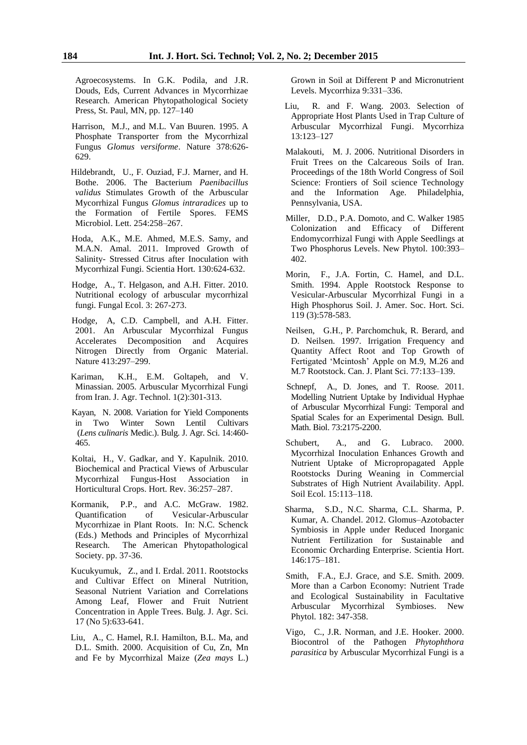Agroecosystems. In G.K. Podila, and J.R. Douds, Eds, Current Advances in Mycorrhizae Research. American Phytopathological Society Press, St. Paul, MN, pp. 127–140

- Harrison, M.J., and M.L. Van Buuren. 1995. A Phosphate Transporter from the Mycorrhizal Fungus *Glomus versiforme*. Nature 378:626- 629.
- Hildebrandt, U., F. Ouziad, F.J. Marner, and H. Bothe. 2006. The Bacterium *Paenibacillus validus* Stimulates Growth of the Arbuscular Mycorrhizal Fungus *Glomus intraradices* up to the Formation of Fertile Spores. FEMS Microbiol. Lett. 254:258–267.
- Hoda, A.K., M.E. Ahmed, M.E.S. Samy, and M.A.N. Amal. 2011. Improved Growth of Salinity- Stressed Citrus after Inoculation with Mycorrhizal Fungi. Scientia Hort. 130:624-632.
- Hodge, A., T. Helgason, and A.H. Fitter. 2010. Nutritional ecology of arbuscular mycorrhizal fungi. Fungal Ecol. 3: 267-273.
- Hodge, A, C.D. Campbell, and A.H. Fitter. 2001. An Arbuscular Mycorrhizal Fungus Accelerates Decomposition and Nitrogen Directly from Organic Material. Nature 413:297–299.
- Kariman, K.H., E.M. Goltapeh, and V. Minassian. 2005. Arbuscular Mycorrhizal Fungi from Iran. J. Agr. Technol. 1(2):301-313.
- Kayan, N. 2008. Variation for Yield Components in Two Winter Sown Lentil Cultivars (*Lens culinaris* Medic.). Bulg. J. Agr. Sci. 14:460- 465.
- Koltai, H., V. Gadkar, and Y. Kapulnik. 2010. Biochemical and Practical Views of Arbuscular Mycorrhizal Fungus-Host Association in Horticultural Crops. Hort. Rev. 36:257–287.
- Kormanik, P.P., and A.C. McGraw. 1982. Quantification of Vesicular-Arbuscular Mycorrhizae in Plant Roots. In: N.C. Schenck (Eds.) Methods and Principles of Mycorrhizal Research. The American Phytopathological Society. pp. 37-36.
- Kucukyumuk, Z., and I. Erdal. 2011. Rootstocks and Cultivar Effect on Mineral Nutrition, Seasonal Nutrient Variation and Correlations Among Leaf, Flower and Fruit Nutrient Concentration in Apple Trees. Bulg. J. Agr. Sci. 17 (No 5):633-641.
- Liu, A., C. Hamel, R.I. Hamilton, B.L. Ma, and D.L. Smith. 2000. Acquisition of Cu, Zn, Mn and Fe by Mycorrhizal Maize (*Zea mays* L.)

Grown in Soil at Different P and Micronutrient Levels. Mycorrhiza 9:331–336.

- Liu, R. and F. Wang. 2003. Selection of Appropriate Host Plants Used in Trap Culture of Arbuscular Mycorrhizal Fungi. Mycorrhiza 13:123–127
- Malakouti, M. J. 2006. Nutritional Disorders in Fruit Trees on the Calcareous Soils of Iran. Proceedings of the 18th World Congress of Soil Science: Frontiers of Soil science Technology and the Information Age. Philadelphia, Pennsylvania, USA.
- Miller, D.D., P.A. Domoto, and C. Walker 1985 Colonization and Efficacy of Different Endomycorrhizal Fungi with Apple Seedlings at Two Phosphorus Levels. New Phytol. 100:393– 402.
- Morin, F., J.A. Fortin, C. Hamel, and D.L. Smith. 1994. Apple Rootstock Response to Vesicular-Arbuscular Mycorrhizal Fungi in a High Phosphorus Soil. J. Amer. Soc. Hort. Sci. 119 (3):578-583.
- Neilsen, G.H., P. Parchomchuk, R. Berard, and D. Neilsen. 1997. Irrigation Frequency and Quantity Affect Root and Top Growth of Fertigated 'Mcintosh' Apple on M.9, M.26 and M.7 Rootstock. Can. J. Plant Sci. 77:133–139.
- Schnepf, A., D. Jones, and T. Roose. 2011. Modelling Nutrient Uptake by Individual Hyphae of Arbuscular Mycorrhizal Fungi: Temporal and Spatial Scales for an Experimental Design. Bull. Math. Biol. 73:2175-2200.
- Schubert, A., and G. Lubraco. 2000. Mycorrhizal Inoculation Enhances Growth and Nutrient Uptake of Micropropagated Apple Rootstocks During Weaning in Commercial Substrates of High Nutrient Availability. Appl. Soil Ecol. 15:113–118.
- Sharma, S.D., N.C. Sharma, C.L. Sharma, P. Kumar, A. Chandel. 2012. Glomus–Azotobacter Symbiosis in Apple under Reduced Inorganic Nutrient Fertilization for Sustainable and Economic Orcharding Enterprise. Scientia Hort. 146:175–181.
- Smith, F.A., E.J. Grace, and S.E. Smith. 2009. More than a Carbon Economy: Nutrient Trade and Ecological Sustainability in Facultative Arbuscular Mycorrhizal Symbioses. New Phytol. 182: 347-358.
- Vigo, C., J.R. Norman, and J.E. Hooker. 2000. Biocontrol of the Pathogen *Phytophthora parasitica* by Arbuscular Mycorrhizal Fungi is a